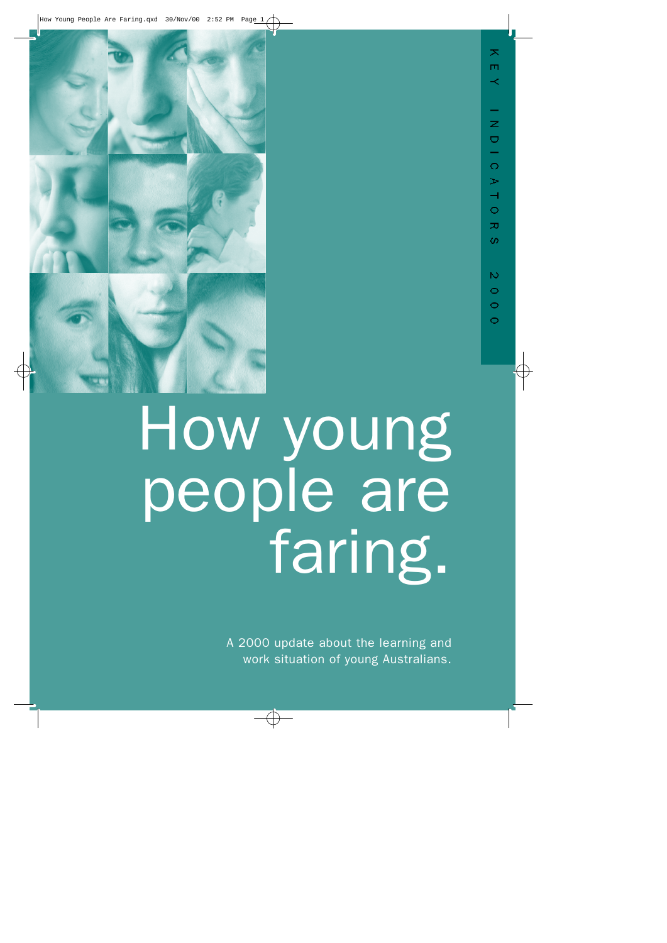

## How young people are faring.

A 2000 update about the learning and work situation of young Australians.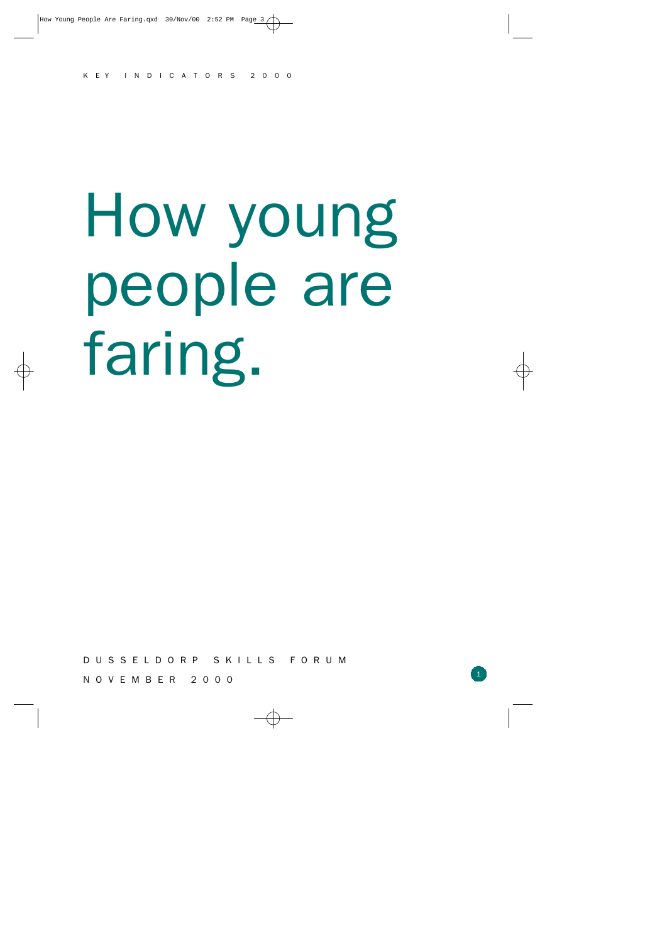# How young people are faring.

D U S S E L D O R P S K I L L S F O R U M

1

N O V E M B E R 2 0 0 0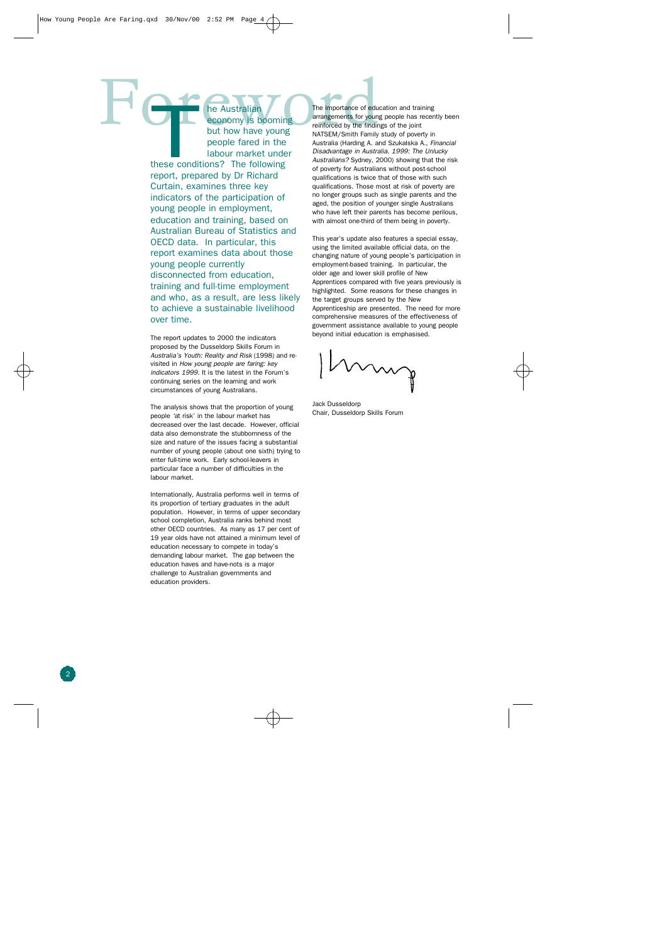The Australian<br>
Referred by the English Company is booming<br>
but how have young<br>
presents for young<br>
presents for the English Company<br>
MATSEM/Smith Family these condit he Australian economy is booming but how have young people fared in the labour market under these conditions? The following report, prepared by Dr Richard Curtain, examines three key indicators of the participation of young people in employment, education and training, based on Australian Bureau of Statistics and OECD data. In particular, this report examines data about those young people currently disconnected from education, training and full-time employment and who, as a result, are less likely to achieve a sustainable livelihood over time.

> The report updates to 2000 the indicators proposed by the Dusseldorp Skills Forum in *Australia's Youth: Reality and Risk* (1998) and revisited in *How young people are faring: key indicators 1999.* It is the latest in the Forum's continuing series on the learning and work circumstances of young Australians.

The analysis shows that the proportion of young people 'at risk' in the labour market has decreased over the last decade. However, official data also demonstrate the stubbornness of the size and nature of the issues facing a substantial number of young people (about one sixth) trying to enter full-time work. Early school-leavers in particular face a number of difficulties in the labour market.

Internationally, Australia performs well in terms of its proportion of tertiary graduates in the adult population. However, in terms of upper secondary school completion, Australia ranks behind most other OECD countries. As many as 17 per cent of 19 year olds have not attained a minimum level of education necessary to compete in today's demanding labour market. The gap between the education haves and have-nots is a major challenge to Australian governments and education providers.

The importance of education and training arrangements for young people has recently been reinforced by the findings of the joint NATSEM/Smith Family study of poverty in Australia (Harding A. and Szukalska A., *Financial Disadvantage in Australia. 1999: The Unlucky Australians?* Sydney, 2000) showing that the risk of poverty for Australians without post-school qualifications is twice that of those with such qualifications. Those most at risk of poverty are no longer groups such as single parents and the aged, the position of younger single Australians who have left their parents has become perilous, with almost one-third of them being in poverty.

This year's update also features a special essay, using the limited available official data, on the changing nature of young people's participation in employment-based training. In particular, the older age and lower skill profile of New Apprentices compared with five years previously is highlighted. Some reasons for these changes in the target groups served by the New Apprenticeship are presented. The need for more comprehensive measures of the effectiveness of government assistance available to young people beyond initial education is emphasised.

Jack Dusseldorp Chair, Dusseldorp Skills Forum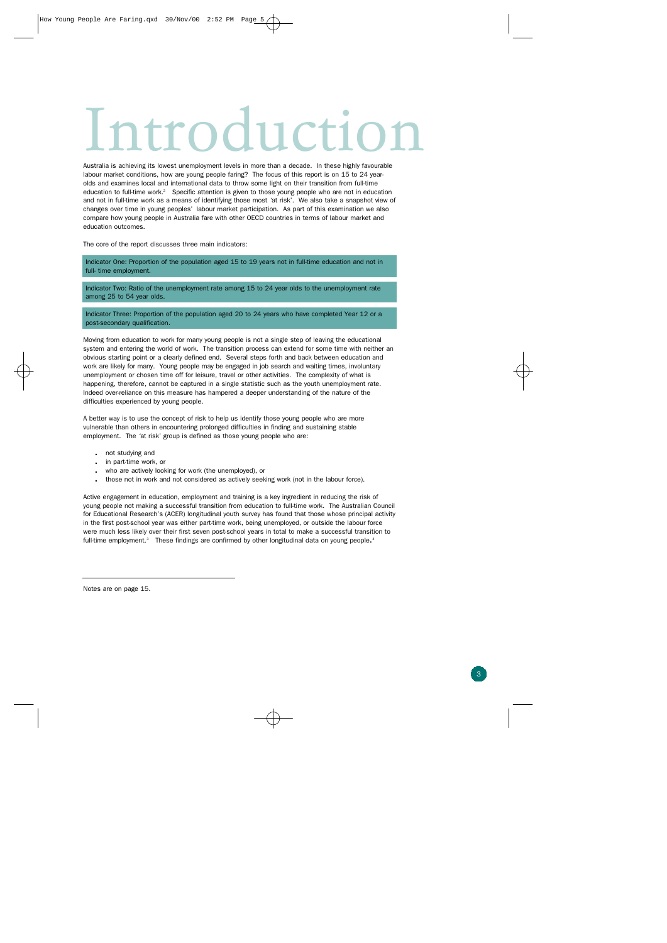## Introduction City n

Australia is achieving its lowest unemployment levels in more than a decade. In these highly favourabl e labour market conditions, how are young people faring? The focus of this report is on 15 to 24 yearolds and examines local and international data to throw some light on their transition from full-time education to full-time work.<sup>2</sup> Specific attention is given to those young people who are not in education and not in full-time work as a means of identifying those most 'at risk'. We also take a snapshot view of changes over time in young peoples' labour market participation. As part of this examination we also compare how young people in Australia fare with other OECD countries in terms of labour market and education outcomes.

The core of the report discusses three main indicators:

Indicator One: Proportion of the population aged 15 to 19 years not in full-time education and not in full- time employment.

Indicator Two: Ratio of the unemployment rate among 15 to 24 year olds to the unemployment rate among 25 to 54 year olds.

Indicator Three: Proportion of the population aged 20 to 24 years who have completed Year 12 or a post-secondary qualification.

Moving from education to work for many young people is not a single step of leaving the educational system and entering the world of work. The transition process can extend for some time with neither an obvious starting point or a clearly defined end. Several steps forth and back between education and work are likely for many. Young people may be engaged in job search and waiting times, involuntary unemployment or chosen time off for leisure, travel or other activities. The complexity of what is happening, therefore, cannot be captured in a single statistic such as the youth unemployment rate. Indeed over-reliance on this measure has hampered a deeper understanding of the nature of the difficulties experienced by young people.

A better way is to use the concept of risk to help us identify those young people who are more vulnerable than others in encountering prolonged difficulties in finding and sustaining stable employment. The 'at risk' group is defined as those young people who are:

- . not studying and
- . in part-time work, or
- . who are actively looking for work (the unemployed), or
- . those not in work and not considered as actively seeking work (not in the labour force).

Active engagement in education, employment and training is a key ingredient in reducing the risk of young people not making a successful transition from education to full-time work. The Australian Council for Educational Research's (ACER) longitudinal youth survey has found that those whose principal activity in the first post-school year was either part-time work, being unemployed, or outside the labour force were much less likely over their first seven post-school years in total to make a successful transition to full-time employment.<sup>3</sup> These findings are confirmed by other longitudinal data on young people.<sup>4</sup>

Notes are on page 15.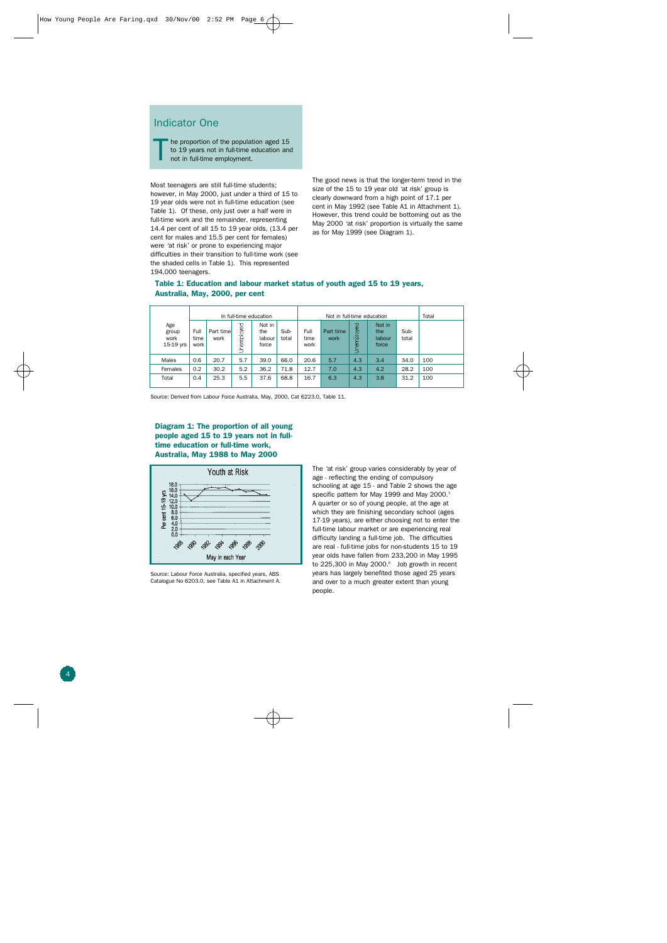#### Indicator One

he proportion of the population aged 15 to 19 years not in full-time education and not in full-time employment. T

Most teenagers are still full-time students; however, in May 2000, just under a third of 15 to 19 year olds were not in full-time education (see Table 1). Of these, only just over a half were in full-time work and the remainder, representing 14.4 per cent of all 15 to 19 year olds, (13.4 per cent for males and 15.5 per cent for females) were 'at risk' or prone to experiencing major difficulties in their transition to full-time work (see the shaded cells in Table 1). This represented 194,000 teenagers.

The good news is that the longer-term trend in the size of the 15 to 19 year old 'at risk' group is clearly downward from a high point of 17.1 per cent in May 1992 (see Table A1 in Attachment 1). However, this trend could be bottoming out as the May 2000 'at risk' proportion is virtually the same as for May 1999 (see Diagram 1).

|                                   |                      |                   |            | In full-time education           |               | Not in full-time education |                   |                |                                  |               | Total |
|-----------------------------------|----------------------|-------------------|------------|----------------------------------|---------------|----------------------------|-------------------|----------------|----------------------------------|---------------|-------|
| Age<br>group<br>work<br>15-19 yrs | Full<br>time<br>work | Part time<br>work | Unemployed | Not in<br>the<br>labour<br>force | Sub-<br>total | Full<br>time<br>work       | Part time<br>work | oyed<br>Unempl | Not in<br>the<br>labour<br>force | Sub-<br>total |       |
| Males                             | 0.6                  | 20.7              | 5.7        | 39.0                             | 66.0          | 20.6                       | 5.7               | 4.3            | 3.4                              | 34.0          | 100   |
| Females                           | 0.2                  | 30.2              | 5.2        | 36.2                             | 71.8          | 12.7                       | 7.0               | 4.3            | 4.2                              | 28.2          | 100   |
| Total                             | 0.4                  | 25.3              | 5.5        | 37.6                             | 68.8          | 16.7                       | 6.3               | 4.3            | 3.8                              | 31.2          | 100   |

#### **Table 1: Education and labour market status of youth aged 15 to 19 years, Australia, May, 2000, per cent**

Source: Derived from Labour Force Australia, May, 2000, Cat 6223.0, Table 11.

**Diagram 1: The proportion of all young people aged 15 to 19 years not in fulltime education or full-time work, Australia, May 1988 to May 2000**



Source: Labour Force Australia, specified years, ABS Catalogue No 6203.0, see Table A1 in Attachment A. The 'at risk' group varies considerably by year of age - reflecting the ending of compulsory schooling at age 15 - and Table 2 shows the age specific pattern for May 1999 and May 2000. 5 A quarter or so of young people, at the age at which they are finishing secondary school (ages 17-19 years), are either choosing not to enter the full-time labour market or are experiencing real difficulty landing a full-time job. The difficulties are real - full-time jobs for non-students 15 to 19 year olds have fallen from 233,200 in May 1995 to 225,300 in May 2000. 6 Job growth in recent years has largely benefited those aged 25 years and over to a much greater extent than young people.

4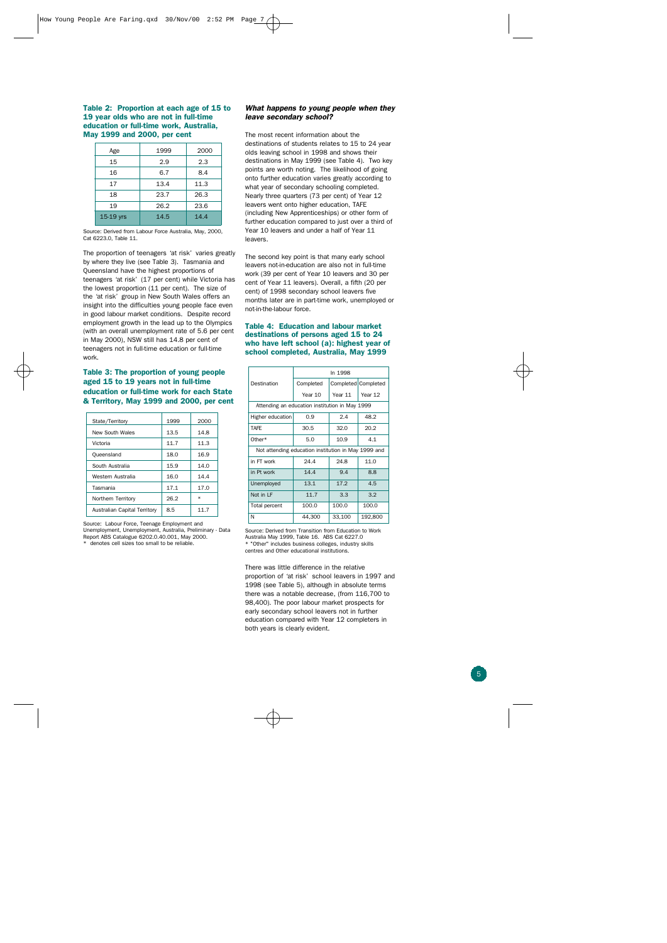**Table 2: Proportion at each age of 15 to 19 year olds who are not in full-time education or full-time work, Australia, May 1999 and 2000, per cent**

| Age       | 1999 | 2000 |
|-----------|------|------|
| 15        | 2.9  | 2.3  |
| 16        | 6.7  | 8.4  |
| 17        | 13.4 | 11.3 |
| 18        | 23.7 | 26.3 |
| 19        | 26.2 | 23.6 |
| 15-19 yrs | 14.5 | 14.4 |

Source: Derived from Labour Force Australia, May, 2000, Cat 6223.0, Table 11.

The proportion of teenagers 'at risk' varies greatly by where they live (see Table 3). Tasmania and Queensland have the highest proportions of teenagers 'at risk' (17 per cent) while Victoria has the lowest proportion (11 per cent). The size of the 'at risk' group in New South Wales offers an insight into the difficulties young people face even in good labour market conditions. Despite record employment growth in the lead up to the Olympics (with an overall unemployment rate of 5.6 per cent in May 2000), NSW still has 14.8 per cent of teenagers not in full-time education or full-time work.

#### **Table 3: The proportion of young people aged 15 to 19 years not in full-time education or full-time work for each State & Territory, May 1999 and 2000, per cent**

| 1999 | 2000   |
|------|--------|
|      |        |
| 13.5 | 14.8   |
| 11.7 | 11.3   |
| 18.0 | 16.9   |
| 15.9 | 14.0   |
| 16.0 | 14.4   |
| 17.1 | 17.0   |
| 26.2 | $\ast$ |
| 8.5  | 11.7   |
|      |        |

Source: Labour Force, Teenage Employment and Unemployment, Unemployment, Australia, Preliminary - Data

Report ABS Catalogue 6202.0.40.001, May 2000. denotes cell sizes too small to be reliable.

#### *What happens to young people when they leave secondary school?*

The most recent information about the destinations of students relates to 15 to 24 year olds leaving school in 1998 and shows their destinations in May 1999 (see Table 4). Two key points are worth noting. The likelihood of going onto further education varies greatly according to what year of secondary schooling completed. Nearly three quarters (73 per cent) of Year 12 leavers went onto higher education, TAFE (including New Apprenticeships) or other form of further education compared to just over a third of Year 10 leavers and under a half of Year 11 leavers.

The second key point is that many early school leavers not-in-education are also not in full-time work (39 per cent of Year 10 leavers and 30 per cent of Year 11 leavers). Overall, a fifth (20 per cent) of 1998 secondary school leavers five months later are in part-time work, unemployed or not-in-the-labour force.

#### **Table 4: Education and labour market destinations of persons aged 15 to 24 who have left school (a): highest year of school completed, Australia, May 1999**

|                                                     | In 1998   |         |                     |  |  |
|-----------------------------------------------------|-----------|---------|---------------------|--|--|
| Destination                                         | Completed |         | Completed Completed |  |  |
|                                                     | Year 10   | Year 11 | Year 12             |  |  |
| Attending an education institution in May 1999      |           |         |                     |  |  |
| Higher education                                    | 0.9       | 2.4     | 48.2                |  |  |
| TAFF                                                | 30.5      | 32.0    | 20.2                |  |  |
| Other*                                              | 5.0       | 10.9    | 4.1                 |  |  |
| Not attending education institution in May 1999 and |           |         |                     |  |  |
| in FT work                                          | 24.4      | 24.8    | 11.0                |  |  |
| in Pt work                                          | 14.4      | 9.4     | 8.8                 |  |  |
| Unemployed                                          | 13.1      | 17.2    | 4.5                 |  |  |
| Not in LF                                           | 11.7      | 3.3     | 3.2                 |  |  |
| Total percent                                       | 100.0     | 100.0   | 100.0               |  |  |
| N                                                   | 44,300    | 33,100  | 192,800             |  |  |

Source: Derived from Transition from Education to Work Australia May 1999, Table 16. ABS Cat 6227.0 \* "Other" includes business colleges, industry skills centres and Other educational institutions.

There was little difference in the relative proportion of 'at risk' school leavers in 1997 and 1998 (see Table 5), although in absolute terms there was a notable decrease, (from 116,700 to 98,400). The poor labour market prospects for early secondary school leavers not in further education compared with Year 12 completers in both years is clearly evident.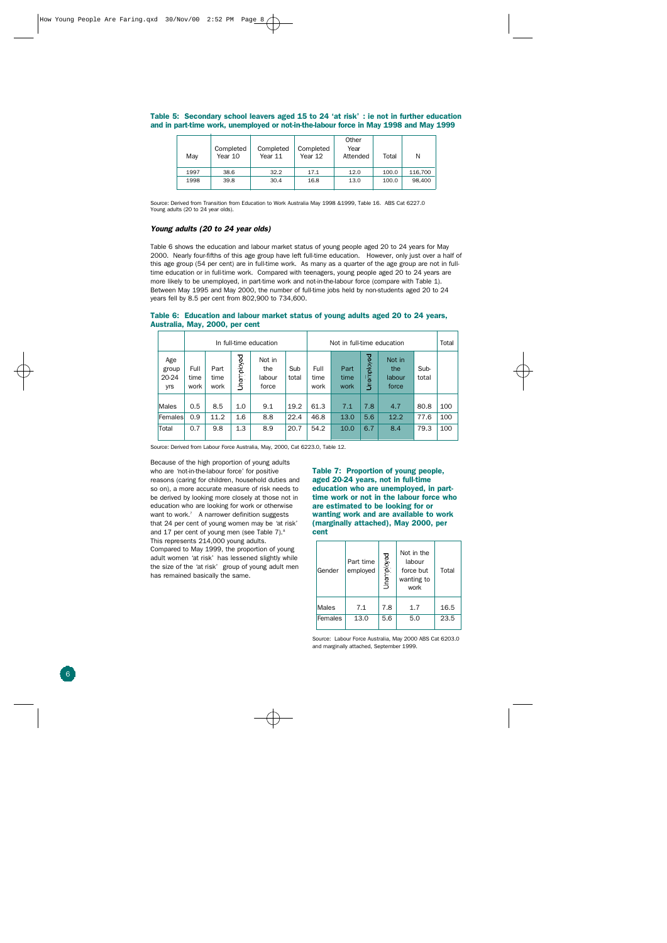| May  | Completed<br>Year 10 | Completed<br>Year 11 | Completed<br>Year 12 | Other<br>Year<br>Attended | Total | N       |
|------|----------------------|----------------------|----------------------|---------------------------|-------|---------|
| 1997 | 38.6                 | 32.2                 | 17.1                 | 12.0                      | 100.0 | 116,700 |
| 1998 | 39.8                 | 30.4                 | 16.8                 | 13.0                      | 100.0 | 98,400  |

#### **Table 5: Secondary school leavers aged 15 to 24 'at risk' : ie not in further education and in part-time work, unemployed or not-in-the-labour force in May 1998 and May 1999**

Source: Derived from Transition from Education to Work Australia May 1998 &1999, Table 16. ABS Cat 6227.0 Young adults (20 to 24 year olds).

#### *Young adults (20 to 24 year olds)*

Table 6 shows the education and labour market status of young people aged 20 to 24 years for May 2000. Nearly four-fifths of this age group have left full-time education. However, only just over a half of this age group (54 per cent) are in full-time work. As many as a quarter of the age group are not in fulltime education or in full-time work. Compared with teenagers, young people aged 20 to 24 years are more likely to be unemployed, in part-time work and not-in-the-labour force (compare with Table 1). Between May 1995 and May 2000, the number of full-time jobs held by non-students aged 20 to 24 years fell by 8.5 per cent from 802,900 to 734,600.

#### **Table 6: Education and labour market status of young adults aged 20 to 24 years, Australia, May, 2000, per cent**

|                              |                      | In full-time education<br>Not in full-time education |            |                                  |              |                      | Total                |            |                                  |               |     |
|------------------------------|----------------------|------------------------------------------------------|------------|----------------------------------|--------------|----------------------|----------------------|------------|----------------------------------|---------------|-----|
| Age<br>group<br>20-24<br>yrs | Full<br>time<br>work | Part<br>time<br>work                                 | Unemployed | Not in<br>the<br>labour<br>force | Sub<br>total | Full<br>time<br>work | Part<br>time<br>work | Unemployed | Not in<br>the<br>labour<br>force | Sub-<br>total |     |
| <b>Males</b>                 | 0.5                  | 8.5                                                  | 1.0        | 9.1                              | 19.2         | 61.3                 | 7.1                  | 7.8        | 4.7                              | 80.8          | 100 |
| Females                      | 0.9                  | 11.2                                                 | 1.6        | 8.8                              | 22.4         | 46.8                 | 13.0                 | 5.6        | 12.2                             | 77.6          | 100 |
| Total                        | 0.7                  | 9.8                                                  | 1.3        | 8.9                              | 20.7         | 54.2                 | 10.0                 | 6.7        | 8.4                              | 79.3          | 100 |

Source: Derived from Labour Force Australia, May, 2000, Cat 6223.0, Table 12.

Because of the high proportion of young adults who are 'not-in-the-labour force' for positive reasons (caring for children, household duties and so on), a more accurate measure of risk needs to be derived by looking more closely at those not in education who are looking for work or otherwise want to work. <sup>7</sup> A narrower definition suggests that 24 per cent of young women may be 'at risk' and 17 per cent of young men (see Table 7). 8 This represents 214,000 young adults. Compared to May 1999, the proportion of young

adult women 'at risk' has lessened slightly while the size of the 'at risk' group of young adult men has remained basically the same.

**Table 7: Proportion of young people, aged 20-24 years, not in full-time education who are unemployed, in parttime work or not in the labour force who are estimated to be looking for or wanting work and are available to work (marginally attached), May 2000, per cent**

| Gender  | Part time<br>employed | Jnemployed | Not in the<br>labour<br>force but<br>wanting to<br>work | Total |
|---------|-----------------------|------------|---------------------------------------------------------|-------|
| Males   | 7.1                   | 7.8        | 1.7                                                     | 16.5  |
| Females | 13.0                  | 5.6        | 5.0                                                     | 23.5  |

Source: Labour Force Australia, May 2000 ABS Cat 6203.0 and marginally attached, September 1999.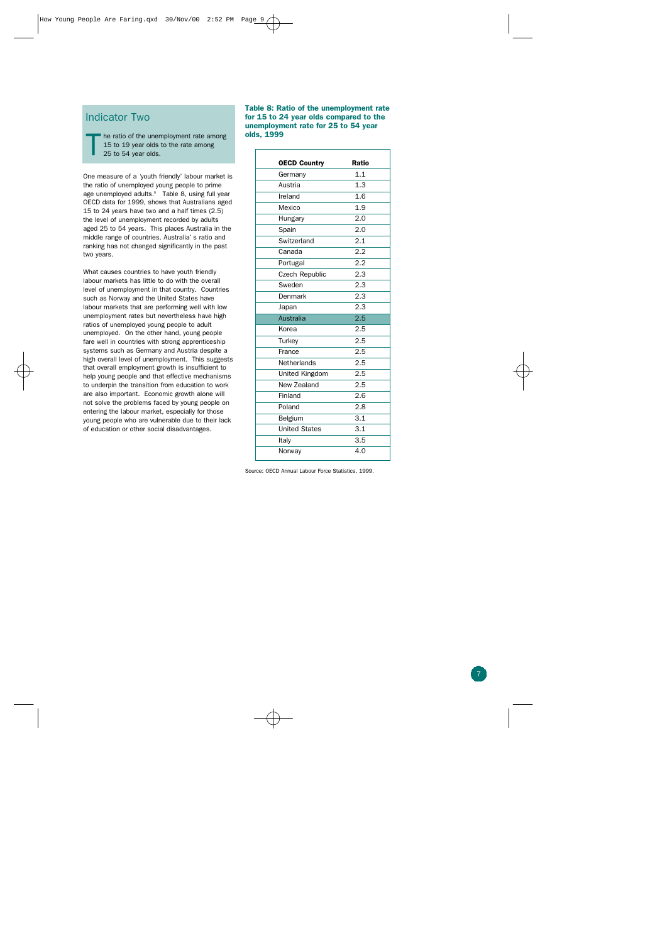#### Indicator Two

he ratio of the unemployment rate among 15 to 19 year olds to the rate among 25 to 54 year olds. T

One measure of a 'youth friendly' labour market is the ratio of unemployed young people to prime age unemployed adults. <sup>9</sup> Table 8, using full year OECD data for 1999, shows that Australians aged 15 to 24 years have two and a half times (2.5) the level of unemployment recorded by adults aged 25 to 54 years. This places Australia in the middle range of countries. Australia's ratio and ranking has not changed significantly in the past two years.

What causes countries to have youth friendly labour markets has little to do with the overall level of unemployment in that country. Countries such as Norway and the United States have labour markets that are performing well with low unemployment rates but nevertheless have high ratios of unemployed young people to adult unemployed. On the other hand, young people fare well in countries with strong apprenticeship systems such as Germany and Austria despite a high overall level of unemployment. This suggests that overall employment growth is insufficient to help young people and that effective mechanisms to underpin the transition from education to work are also important. Economic growth alone will not solve the problems faced by young people on entering the labour market, especially for those young people who are vulnerable due to their lack of education or other social disadvantages.

#### **Table 8: Ratio of the unemployment rate for 15 to 24 year olds compared to the unemployment rate for 25 to 54 year olds, 1999**

| <b>OECD Country</b>   | <b>Ratio</b> |
|-----------------------|--------------|
| Germany               | 1.1          |
| Austria               | 1.3          |
| Ireland               | 1.6          |
| Mexico                | 1.9          |
| Hungary               | 2.0          |
| Spain                 | 2.0          |
| Switzerland           | 2.1          |
| Canada                | 2.2          |
| Portugal              | 2.2          |
| <b>Czech Republic</b> | 2.3          |
| Sweden                | 2.3          |
| Denmark               | 2.3          |
| Japan                 | 2.3          |
| <b>Australia</b>      | 2.5          |
| Korea                 | 2.5          |
| Turkey                | 2.5          |
| France                | 2.5          |
| Netherlands           | 2.5          |
| United Kingdom        | 2.5          |
| New Zealand           | 2.5          |
| Finland               | 2.6          |
| Poland                | 2.8          |
| Belgium               | 3.1          |
| <b>United States</b>  | 3.1          |
| Italy                 | 3.5          |
| Norway                | 4.0          |

Source: OECD Annual Labour Force Statistics, 1999.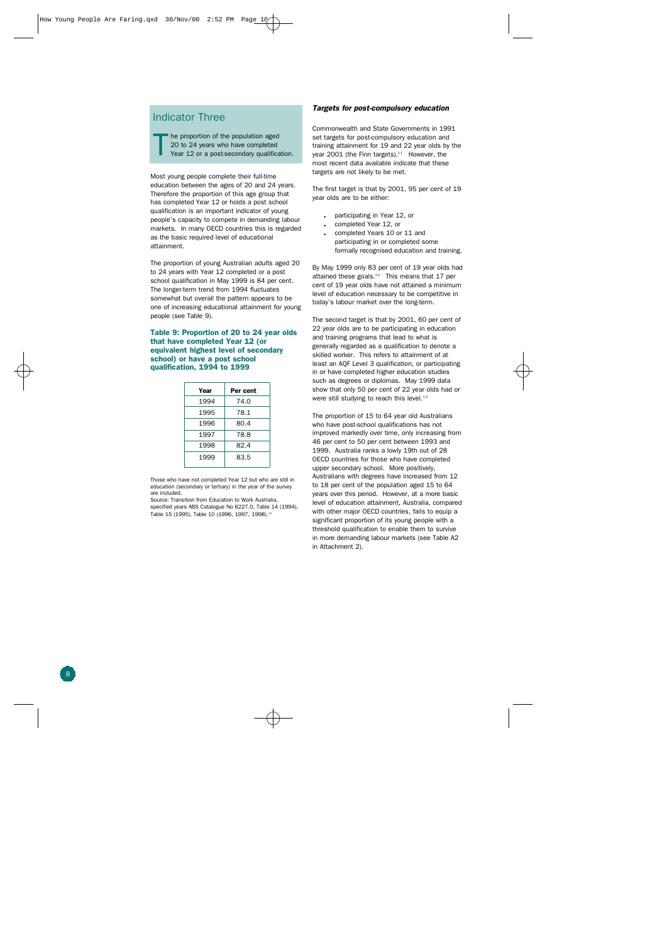#### Indicator Three

he proportion of the population aged 20 to 24 years who have completed Year 12 or a post-secondary qualification. T

Most young people complete their full-time education between the ages of 20 and 24 years. Therefore the proportion of this age group that has completed Year 12 or holds a post school qualification is an important indicator of young people's capacity to compete in demanding labour markets. In many OECD countries this is regarded as the basic required level of educational attainment.

The proportion of young Australian adults aged 20 to 24 years with Year 12 completed or a post school qualification in May 1999 is 84 per cent. The longer-term trend from 1994 fluctuates somewhat but overall the pattern appears to be one of increasing educational attainment for young people (see Table 9).

#### **Table 9: Proportion of 20 to 24 year olds that have completed Year 12 (or equivalent highest level of secondary school) or have a post school qualification, 1994 to 1999**

| Year | Per cent |
|------|----------|
| 1994 | 74.0     |
| 1995 | 78.1     |
| 1996 | 80.4     |
| 1997 | 78.8     |
| 1998 | 82.4     |
| 1999 | 83.5     |

Those who have not completed Year 12 but who are still in education (secondary or tertiary) in the year of the survey are included.

Source: Transition from Education to Work Australia, specified years ABS Catalogue No 6227.0, Table 14 (1994), Table 15 (1995), Table 10 (1996, 1997, 1998).<sup>10</sup>

#### *Targets for post-compulsory education*

Commonwealth and State Governments in 1991 set targets for post-compulsory education and training attainment for 19 and 22 year olds by the year 2001 (the Finn targets).<sup>11</sup> However, the most recent data available indicate that these targets are not likely to be met.

The first target is that by 2001, 95 per cent of 19 year olds are to be either:

- participating in Year 12, or
- . completed Year 12, or
- . completed Years 10 or 11 and participating in or completed some formally recognised education and training.

By May 1999 only 83 per cent of 19 year olds had attained these goals. $12$  This means that 17 per cent of 19 year olds have not attained a minimum level of education necessary to be competitive in today's labour market over the long-term.

The second target is that by 2001, 60 per cent of 22 year olds are to be participating in education and training programs that lead to what is generally regarded as a qualification to denote a skilled worker. This refers to attainment of at least an AQF Level 3 qualification, or participating in or have completed higher education studies such as degrees or diplomas. May 1999 data show that only 50 per cent of 22 year olds had or were still studying to reach this level.<sup>13</sup>

The proportion of 15 to 64 year old Australians who have post-school qualifications has not improved markedly over time, only increasing from 46 per cent to 50 per cent between 1993 and 1999. Australia ranks a lowly 19th out of 28 OECD countries for those who have completed upper secondary school. More positively, Australians with degrees have increased from 12 to 18 per cent of the population aged 15 to 64 years over this period. However, at a more basic level of education attainment, Australia, compared with other major OECD countries, fails to equip a significant proportion of its young people with a threshold qualification to enable them to survive in more demanding labour markets (see Table A2 in Attachment 2).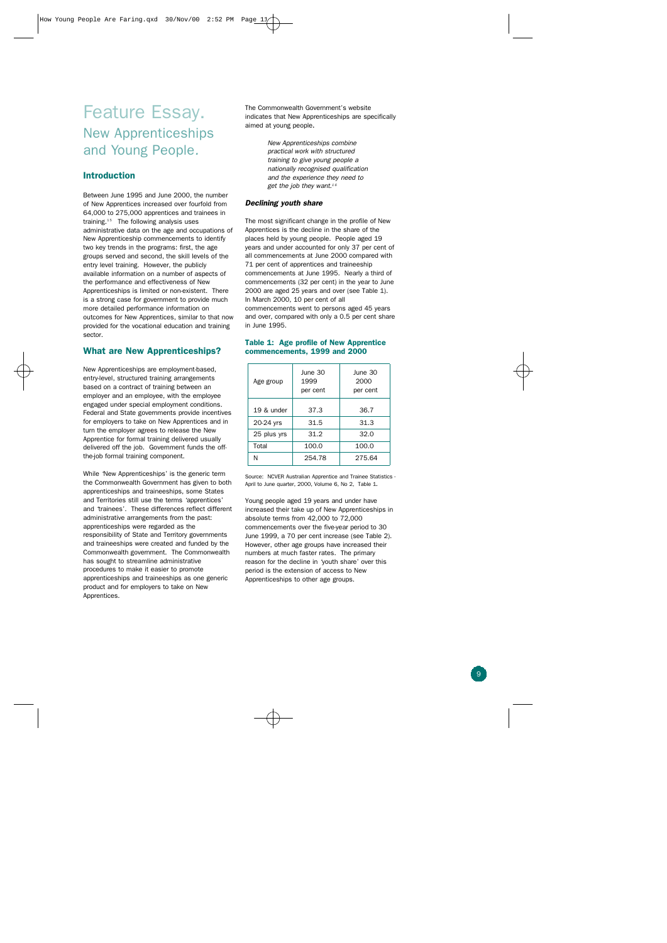### Feature Essay. New Apprenticeships and Young People*.*

#### **Introduction**

Between June 1995 and June 2000, the number of New Apprentices increased over fourfold from 64,000 to 275,000 apprentices and trainees in training.<sup>15</sup> The following analysis uses administrative data on the age and occupations of New Apprenticeship commencements to identify two key trends in the programs: first, the age groups served and second, the skill levels of the entry level training. However, the publicly available information on a number of aspects of the performance and effectiveness of New Apprenticeships is limited or non-existent. There is a strong case for government to provide much more detailed performance information on outcomes for New Apprentices, similar to that now provided for the vocational education and training sector.

#### **What are New Apprenticeships?**

New Apprenticeships are employment-based, entry-level, structured training arrangements based on a contract of training between an employer and an employee, with the employee engaged under special employment conditions. Federal and State governments provide incentives for employers to take on New Apprentices and in turn the employer agrees to release the New Apprentice for formal training delivered usually delivered off the job. Government funds the offthe-job formal training component.

While 'New Apprenticeships' is the generic term the Commonwealth Government has given to both apprenticeships and traineeships, some States and Territories still use the terms 'apprentices' and 'trainees'. These differences reflect different administrative arrangements from the past: apprenticeships were regarded as the responsibility of State and Territory governments and traineeships were created and funded by the Commonwealth government. The Commonwealth has sought to streamline administrative procedures to make it easier to promote apprenticeships and traineeships as one generic product and for employers to take on New Apprentices.

The Commonwealth Government's website indicates that New Apprenticeships are specifically aimed at young people.

> *New Apprenticeships combine practical work with structured training to give young people a nationally recognised qualification and the experience they need to get the job they want. 1 6*

#### *Declining youth share*

The most significant change in the profile of New Apprentices is the decline in the share of the places held by young people. People aged 19 years and under accounted for only 37 per cent of all commencements at June 2000 compared with 71 per cent of apprentices and traineeship commencements at June 1995. Nearly a third of commencements (32 per cent) in the year to June 2000 are aged 25 years and over (see Table 1). In March 2000, 10 per cent of all commencements went to persons aged 45 years and over, compared with only a 0.5 per cent share in June 1995.

#### **Table 1: Age profile of New Apprentice commencements, 1999 and 2000**

| Age group   | June 30<br>1999<br>per cent | June 30<br>2000<br>per cent |
|-------------|-----------------------------|-----------------------------|
| 19 & under  | 37.3                        | 36.7                        |
| 20-24 yrs   | 31.5                        | 31.3                        |
| 25 plus yrs | 31.2                        | 32.0                        |
| Total       | 100.0                       | 100.0                       |
| N           | 254.78                      | 275.64                      |

Source: NCVER Australian Apprentice and Trainee Statistics - April to June quarter, 2000, Volume 6, No 2, Table 1.

Young people aged 19 years and under have increased their take up of New Apprenticeships in absolute terms from 42,000 to 72,000 commencements over the five-year period to 30 June 1999, a 70 per cent increase (see Table 2). However, other age groups have increased their numbers at much faster rates. The primary reason for the decline in 'youth share' over this period is the extension of access to New Apprenticeships to other age groups.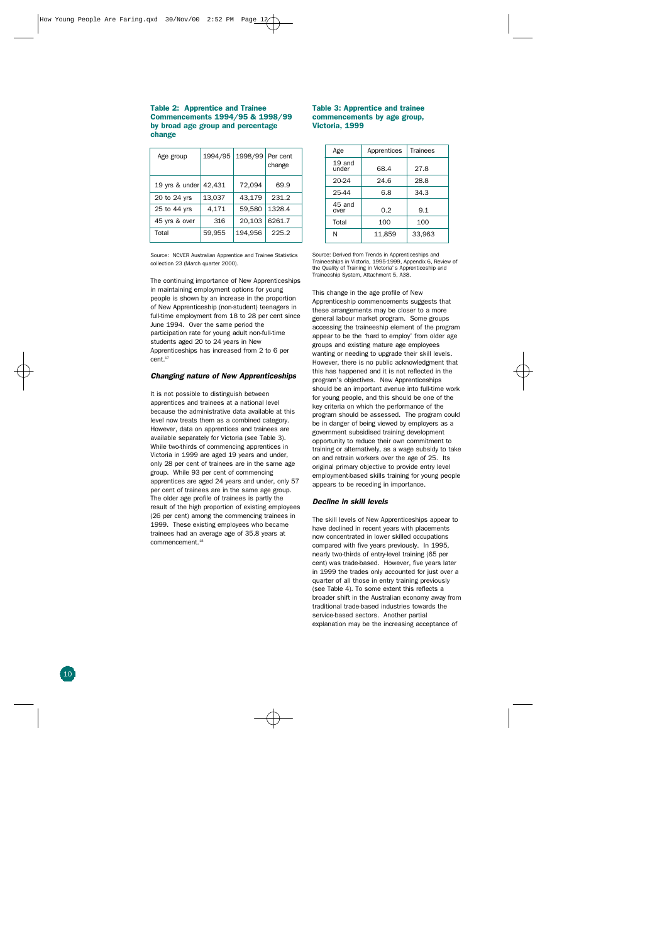#### **Table 2: Apprentice and Traine e Commencements 1994/95 & 1998/9 9 by broad age group and percentag e chang e**

| Age group      | 1994/95 | 1998/99 | Per cent<br>change |
|----------------|---------|---------|--------------------|
| 19 yrs & under | 42.431  | 72,094  | 69.9               |
| 20 to 24 yrs   | 13,037  | 43,179  | 231.2              |
| 25 to 44 yrs   | 4,171   | 59,580  | 1328.4             |
| 45 yrs & over  | 316     | 20.103  | 6261.7             |
| Total          | 59,955  | 194,956 | 225.2              |

#### Source: NCVER Australian Apprentice and Trainee Statistic s collection 23 (March quarter 2000) .

The continuing importance of New Apprenticeship s in maintaining employment options for youn g people is shown by an increase in the proportio n of New Apprenticeship (non-student) teenagers i n full-time employment from 18 to 28 per cent since June 1994. Over the same period th e participation rate for young adult non-full-tim e students aged 20 to 24 years in Ne w Apprenticeships has increased from 2 to 6 pe r cent . 17

#### *Changing nature of New Apprenticeships*

It is not possible to distinguish betwee n apprentices and trainees at a national level because the administrative data available at thi s level now treats them as a combined category . However, data on apprentices and trainees ar e available separately for Victoria (see Table 3) . While two-thirds of commencing apprentices i n Victoria in 1999 are aged 19 years and under , only 28 per cent of trainees are in the same age group. While 93 per cent of commencin g apprentices are aged 24 years and under, only 5 7 per cent of trainees are in the same age group . The older age profile of trainees is partly th e result of the high proportion of existing employee s (26 per cent) among the commencing trainees i n 1999. These existing employees who becam e trainees had an average age of 35.8 years a t commencement . 18

#### **Table 3: Apprentice and traine e commencements by age group, Victoria, 199 9**

| Age               | Apprentices | <b>Trainees</b> |
|-------------------|-------------|-----------------|
| $19$ and<br>under | 68.4        | 27.8            |
| 20-24             | 24.6        | 28.8            |
| 25-44             | 6.8         | 34.3            |
| 45 and<br>over    | 0.2         | 9.1             |
| Total             | 100         | 100             |
| N                 | 11,859      | 33.963          |

Source: Derived from Trends in Apprenticeships an d Traineeships in Victoria, 1995-1999, Appendix 6, Review o f the Quality of Training in Victoria's Apprenticeship an d Traineeship System, Attachment 5, A38 .

This change in the age profile of Ne w Apprenticeship commencements suggests tha t these arrangements may be closer to a mor e general labour market program. Some group s accessing the traineeship element of the progra m appear to be the 'hard to employ' from older ag e groups and existing mature age employee s wanting or needing to upgrade their skill levels . However, there is no public acknowledgment tha t this has happened and it is not reflected in th e program's objectives. New Apprenticeship s should be an important avenue into full-time wor k for young people, and this should be one of th e key criteria on which the performance of th e program should be assessed. The program coul d be in danger of being viewed by employers as a government subsidised training developmen t opportunity to reduce their own commitment t o training or alternatively, as a wage subsidy to tak e on and retrain workers over the age of 25. It s original primary objective to provide entry level employment-based skills training for young peopl e appears to be receding in importance .

#### *Decline in skill levels*

The skill levels of New Apprenticeships appear to have declined in recent years with placement s now concentrated in lower skilled occupation s compared with five years previously. In 1995 , nearly two-thirds of entry-level training (65 pe r cent) was trade-based. However, five years late r in 1999 the trades only accounted for just over a quarter of all those in entry training previously (see Table 4). To some extent this reflects a broader shift in the Australian economy away fro m traditional trade-based industries towards th e service-based sectors. Another partial explanation may be the increasing acceptance o f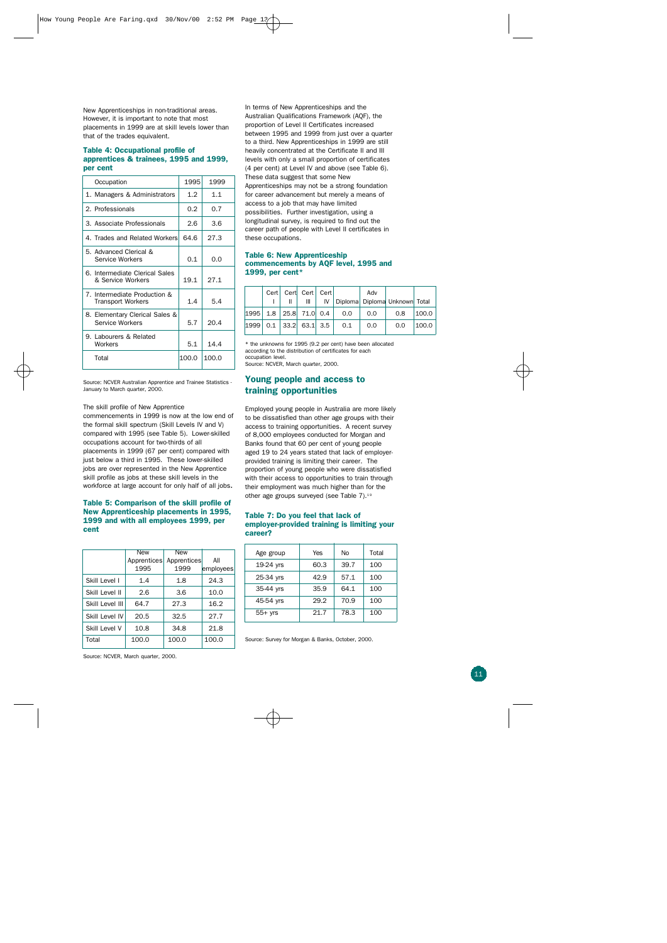New Apprenticeships in non-traditional areas. However, it is important to note that most placements in 1999 are at skill levels lower than that of the trades equivalent.

#### **Table 4: Occupational profile of apprentices & trainees, 1995 and 1999, per cent**

| Occupation                                               | 1995  | 1999  |
|----------------------------------------------------------|-------|-------|
| 1. Managers & Administrators                             | 1.2   | 1.1   |
| 2. Professionals                                         | 0.2   | 0.7   |
| 3. Associate Professionals                               | 2.6   | 3.6   |
| 4. Trades and Related Workers                            | 64.6  | 27.3  |
| 5. Advanced Clerical &<br>Service Workers                | 0.1   | 0.0   |
| 6. Intermediate Clerical Sales<br>& Service Workers      | 19.1  | 27.1  |
| 7. Intermediate Production &<br><b>Transport Workers</b> | 1.4   | 5.4   |
| 8. Elementary Clerical Sales &<br>Service Workers        | 5.7   | 20.4  |
| 9. Labourers & Related<br>Workers                        | 5.1   | 14.4  |
| Total                                                    | 100.0 | 100.0 |

Source: NCVER Australian Apprentice and Trainee Statistics - January to March quarter, 2000.

#### The skill profile of New Apprentice

commencements in 1999 is now at the low end of the formal skill spectrum (Skill Levels IV and V) compared with 1995 (see Table 5). Lower-skilled occupations account for two-thirds of all placements in 1999 (67 per cent) compared with just below a third in 1995. These lower-skilled jobs are over represented in the New Apprentice skill profile as jobs at these skill levels in the workforce at large account for only half of all jobs.

#### **Table 5: Comparison of the skill profile of New Apprenticeship placements in 1995, 1999 and with all employees 1999, per cent**

|                 | <b>New</b>  | New         |           |
|-----------------|-------------|-------------|-----------|
|                 | Apprentices | Apprentices | All       |
|                 | 1995        | 1999        | employees |
| Skill Level L   | 1.4         | 1.8         | 24.3      |
| Skill Level II  | 2.6         | 3.6         | 10.0      |
| Skill Level III | 64.7        | 27.3        | 16.2      |
| Skill Level IV  | 20.5        | 32.5        | 27.7      |
| Skill Level V   | 10.8        | 34.8        | 21.8      |
| Total           | 100.0       | 100.0       | 100.0     |

In terms of New Apprenticeships and the Australian Qualifications Framework (AQF), the proportion of Level II Certificates increased between 1995 and 1999 from just over a quarter to a third. New Apprenticeships in 1999 are still heavily concentrated at the Certificate II and III levels with only a small proportion of certificates (4 per cent) at Level IV and above (see Table 6). These data suggest that some New Apprenticeships may not be a strong foundation for career advancement but merely a means of access to a job that may have limited possibilities. Further investigation, using a longitudinal survey, is required to find out the career path of people with Level II certificates in these occupations.

#### **Table 6: New Apprenticeship commencements by AQF level, 1995 and 1999, per cent\***

|  | Cert Cert Cert Cert<br>Ш       |     | Adv | IV   Diploma   Diploma Unknown   Total |       |
|--|--------------------------------|-----|-----|----------------------------------------|-------|
|  | 1995   1.8   25.8   71.0   0.4 | 0.0 | 0.0 | 0.8                                    | 100.0 |
|  | 1999   0.1   33.2   63.1   3.5 | 0.1 | 0.0 | 0.0                                    | 100.0 |

\* the unknowns for 1995 (9.2 per cent) have been allocated according to the distribution of certificates for each occupation level.

Source: NCVER, March quarter, 2000.

#### **Young people and access to training opportunities**

Employed young people in Australia are more likely to be dissatisfied than other age groups with their access to training opportunities. A recent survey of 8,000 employees conducted for Morgan and Banks found that 60 per cent of young people aged 19 to 24 years stated that lack of employerprovided training is limiting their career. The proportion of young people who were dissatisfied with their access to opportunities to train through their employment was much higher than for the other age groups surveyed (see Table 7). $18$ 

#### **Table 7: Do you feel that lack of employer-provided training is limiting your career?**

| Age group | Yes  | No   | Total |
|-----------|------|------|-------|
| 19-24 yrs | 60.3 | 39.7 | 100   |
| 25-34 yrs | 42.9 | 57.1 | 100   |
| 35-44 yrs | 35.9 | 64.1 | 100   |
| 45-54 yrs | 29.2 | 70.9 | 100   |
| $55+$ yrs | 21.7 | 78.3 | 100   |

Source: Survey for Morgan & Banks, October, 2000.

Source: NCVER, March quarter, 2000.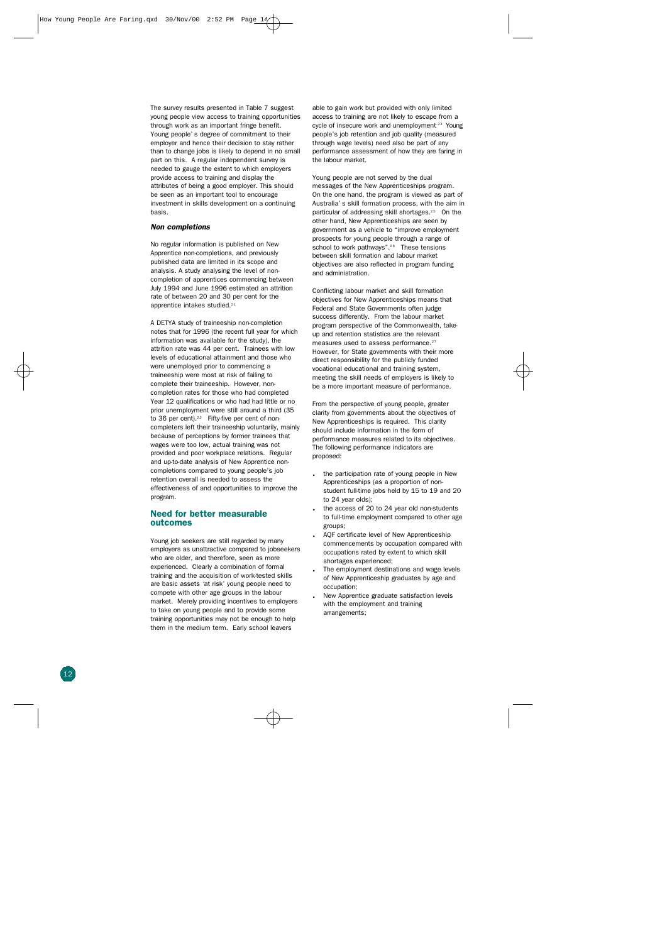The survey results presented in Table 7 sugges t young people view access to training opportunitie s through work as an important fringe benefit . Young people's degree of commitment to their employer and hence their decision to stay rathe r than to change jobs is likely to depend in no small part on this. A regular independent survey i s needed to gauge the extent to which employer s provide access to training and display th e attributes of being a good employer. This shoul d be seen as an important tool to encourag e investment in skills development on a continuin g basis .

#### *Non completion s*

No regular information is published on Ne w Apprentice non-completions, and previousl y published data are limited in its scope an d analysis. A study analysing the level of non completion of apprentices commencing betwee n July 1994 and June 1996 estimated an attritio n rate of between 20 and 30 per cent for th e apprentice intakes studied.<sup>21</sup>

A DETYA study of traineeship non-completio n notes that for 1996 (the recent full year for whic h information was available for the study), th e attrition rate was 44 per cent. Trainees with lo w levels of educational attainment and those wh o were unemployed prior to commencing a traineeship were most at risk of failing t o complete their traineeship. However, non completion rates for those who had complete d Year 12 qualifications or who had had little or no prior unemployment were still around a third (3 5 to 36 per cent). $22$  Fifty-five per cent of noncompleters left their traineeship voluntarily, mainl y because of perceptions by former trainees tha t wages were too low, actual training was no t provided and poor workplace relations. Regular and up-to-date analysis of New Apprentice non completions compared to young people's jo b retention overall is needed to assess th e effectiveness of and opportunities to improve th e program .

#### **Need for better measurabl e outcome s**

Young job seekers are still regarded by many employers as unattractive compared to jobseeker s who are older, and therefore, seen as mor e experienced. Clearly a combination of formal training and the acquisition of work-tested skill s are basic assets 'at risk' young people need t o compete with other age groups in the labou r market. Merely providing incentives to employer s to take on young people and to provide som e training opportunities may not be enough to hel p them in the medium term. Early school leavers

able to gain work but provided with only limite d access to training are not likely to escape from a cycle of insecure work and unemployment<sup>23</sup> Young people's job retention and job quality (measure d through wage levels) need also be part of an y performance assessment of how they are faring i n the labour market.

Young people are not served by the dual messages of the New Apprenticeships program . On the one hand, the program is viewed as part o f Australia's skill formation process, with the aim i n particular of addressing skill shortages.<sup>25</sup> On the other hand, New Apprenticeships are seen b y government as a vehicle to "improve employmen t prospects for young people through a range o f school to work pathways".<sup>26</sup> These tensions between skill formation and labour marke t objectives are also reflected in program fundin g and administration .

Conflicting labour market and skill formatio n objectives for New Apprenticeships means tha t Federal and State Governments often judg e success differently. From the labour marke t program perspective of the Commonwealth, take up and retention statistics are the relevan t measures used to assess performance.<sup>27</sup> However, for State governments with their mor e direct responsibility for the publicly funde d vocational educational and training system , meeting the skill needs of employers is likely t o be a more important measure of performance .

From the perspective of young people, greater clarity from governments about the objectives o f New Apprenticeships is required. This clarit y should include information in the form o f performance measures related to its objectives . The following performance indicators ar e proposed:

- . the participation rate of young people in New Apprenticeships (as a proportion of nonstudent full-time jobs held by 15 to 19 and 20 to 24 year olds);
- . the access of 20 to 24 year old non-students to full-time employment compared to other age groups ;
- . AQF certificate level of New Apprenticeship commencements by occupation compared with occupations rated by extent to which skill shortages experienced;
- . The employment destinations and wage levels of New Apprenticeship graduates by age and occupation ;
- . New Apprentice graduate satisfaction levels with the employment and trainin g arrangements;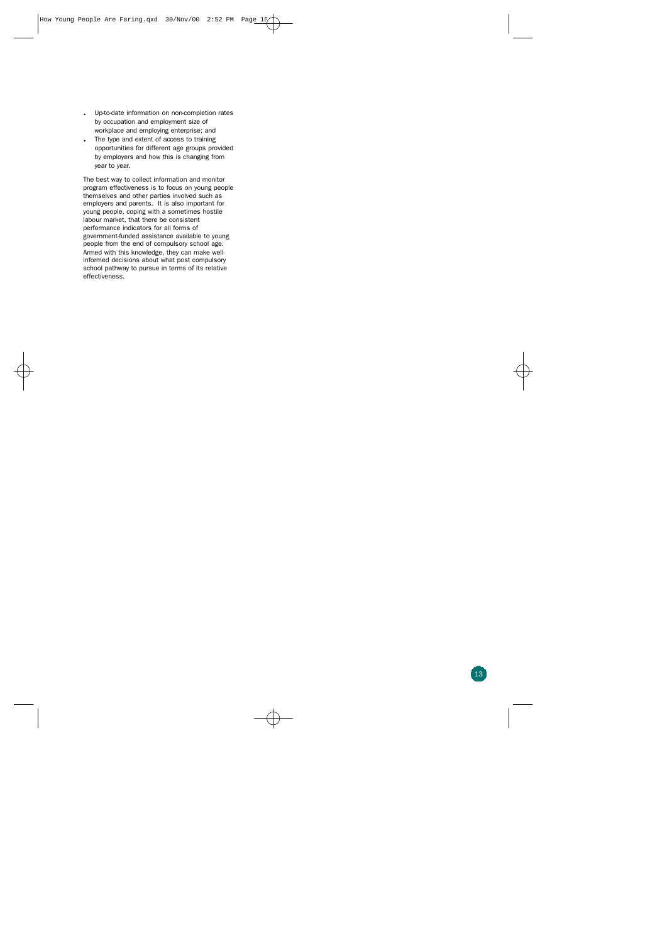- . Up-to-date information on non-completion rates by occupation and employment size of workplace and employing enterprise; and
- . The type and extent of access to training opportunities for different age groups provided by employers and how this is changing from year to year.

The best way to collect information and monitor program effectiveness is to focus on young people themselves and other parties involved such as employers and parents. It is also important for young people, coping with a sometimes hostile labour market, that there be consistent performance indicators for all forms of government-funded assistance available to young people from the end of compulsory school age. Armed with this knowledge, they can make wellinformed decisions about what post compulsory school pathway to pursue in terms of its relative effectiveness.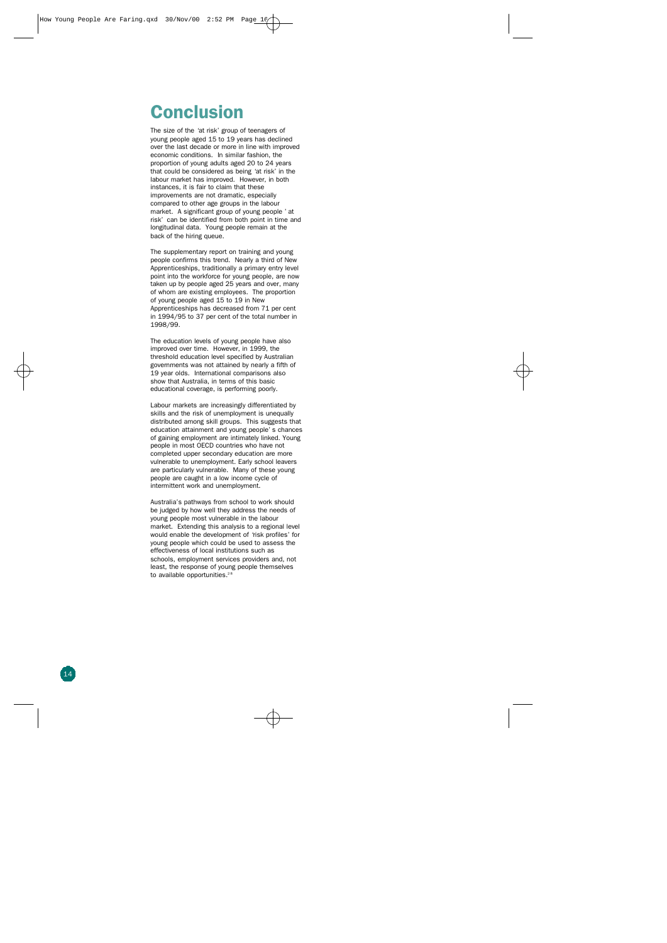### **Conclusion**

The size of the 'at risk' group of teenagers of young people aged 15 to 19 years has declined over the last decade or more in line with improved economic conditions. In similar fashion, the proportion of young adults aged 20 to 24 years that could be considered as being 'at risk' in the labour market has improved. However, in both instances, it is fair to claim that these improvements are not dramatic, especially compared to other age groups in the labour market. A significant group of young people 'at risk' can be identified from both point in time and longitudinal data. Young people remain at the back of the hiring queue.

The supplementary report on training and young people confirms this trend. Nearly a third of New Apprenticeships, traditionally a primary entry level point into the workforce for young people, are now taken up by people aged 25 years and over, many of whom are existing employees. The proportion of young people aged 15 to 19 in New Apprenticeships has decreased from 71 per cent in 1994/95 to 37 per cent of the total number in 1998/99.

The education levels of young people have also improved over time. However, in 1999, the threshold education level specified by Australian governments was not attained by nearly a fifth of 19 year olds. International comparisons also show that Australia, in terms of this basic educational coverage, is performing poorly.

Labour markets are increasingly differentiated by skills and the risk of unemployment is unequally distributed among skill groups. This suggests that education attainment and young people's chances of gaining employment are intimately linked. Young people in most OECD countries who have not completed upper secondary education are more vulnerable to unemployment. Early school leavers are particularly vulnerable. Many of these young people are caught in a low income cycle of intermittent work and unemployment.

Australia's pathways from school to work should be judged by how well they address the needs of young people most vulnerable in the labour market. Extending this analysis to a regional level would enable the development of 'risk profiles' for young people which could be used to assess the effectiveness of local institutions such as schools, employment services providers and, not least, the response of young people themselves to available opportunities.<sup>28</sup>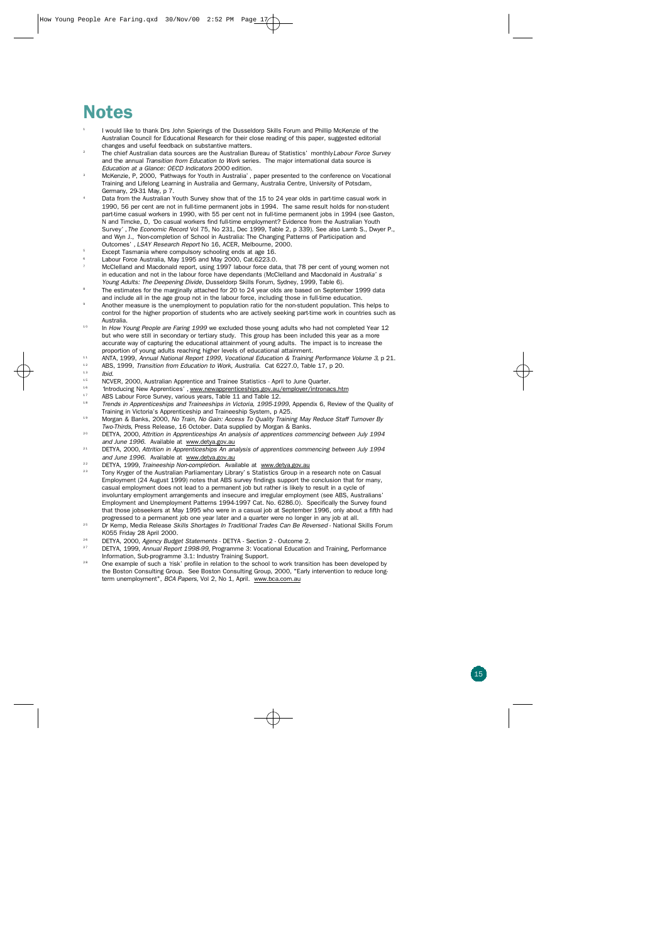## **Notes**

- 1 I would like to thank Drs John Spierings of the Dusseldorp Skills Forum and Phillip McKenzie of the Australian Council for Educational Research for their close reading of this paper, suggested editorial changes and useful feedback on substantive matters.
- <sup>2</sup>The chief Australian data sources are the Australian Bureau of Statistics' monthly*Labour Force Survey* and the annual *Transition from Education to Work* series. The major international data source is *Education at a Glance: OECD Indicators* 2000 edition.
- McKenzie, P, 2000, 'Pathways for Youth in Australia', paper presented to the conference on Vocational Training and Lifelong Learning in Australia and Germany, Australia Centre, University of Potsdam, Germany, 29-31 May, p 7.
- Data from the Australian Youth Survey show that of the 15 to 24 year olds in part-time casual work in 1990, 56 per cent are not in full-time permanent jobs in 1994. The same result holds for non-student part-time casual workers in 1990, with 55 per cent not in full-time permanent jobs in 1994 (see Gaston, N and Timcke, D, 'Do casual workers find full-time employment? Evidence from the Australian Youth Survey', *The Economic Record* Vol 75, No 231, Dec 1999, Table 2, p 339). See also Lamb S., Dwyer P., and Wyn J., 'Non-completion of School in Australia: The Changing Patterns of Participation and Outcomes', *LSAY Research Report* No 16, ACER, Melbourne, 2000.
- <sup>5</sup>Except Tasmania where compulsory schooling ends at age 16.
- <sup>6</sup> Labour Force Australia, May 1995 and May 2000, Cat.6223.0.
- McClelland and Macdonald report, using 1997 labour force data, that 78 per cent of young women not in education and not in the labour force have dependants (McClelland and Macdonald in *Australia's Young Adults: The Deepening Divide*, Dusseldorp Skills Forum, Sydney, 1999, Table 6).
- The estimates for the marginally attached for 20 to 24 year olds are based on September 1999 data and include all in the age group not in the labour force, including those in full-time education.
- <sup>9</sup> Another measure is the unemployment to population ratio for the non-student population. This helps to control for the higher proportion of students who are actively seeking part-time work in countries such as Australia.
- In *How Young People are Faring 1999* we excluded those young adults who had not completed Year 12 but who were still in secondary or tertiary study. This group has been included this year as a more accurate way of capturing the educational attainment of young adults. The impact is to increase the proportion of young adults reaching higher levels of educational attainment.
- 11 ANTA, 1999, *Annual National Report 1999, Vocational Education & Training Performance Volume 3, p 21.*<br>12 APS 1999, *Innestian from Education to Work, Australia, Cet 622*7.0, Table 17, p 20.
- <sup>12</sup> ABS, 1999, *Transition from Education to Work, Australia.* Cat 6227.0, Table 17, p 20.<br><sup>13</sup> Ibid
- $13$  *Ibid.*<br> $15$  **NCV**
- <sup>15</sup> NCVER, 2000, Australian Apprentice and Trainee Statistics April to June Quarter.
- <sup>16</sup> "Introducing New Apprentices', www.newapprenticeships.gov.au/employer/intronacs.htm
- <sup>17</sup> ABS Labour Force Survey, various years, Table 11 and Table 12.<br><sup>18</sup> *Trands in Appropriate hips and Traineechins in Victoria*, 1995-19
- 1 8 *Trends in Apprenticeships and Traineeships in Victoria, 1995-1999*, Appendix 6, Review of the Quality of Training in Victoria's Apprenticeship and Traineeship System, p A25.
- <sup>19</sup> Morgan & Banks, 2000, *No Train, No Gain: Access To Quality Training May Reduce Staff Turnover By Two-Thirds*, Press Release, 16 October. Data supplied by Morgan & Banks.
- 2 0 DETYA, 2000, *Attrition in Apprenticeships An analysis of apprentices commencing between July 1994 and June 1996*. Available at www.detya.gov.au
- <sup>21</sup> DETYA, 2000, Attrition in Apprenticeships An analysis of apprentices commencing between July 1994 *and June 1996*. Available at www.detya.gov.au
- <sup>22</sup> DETYA, 1999, *Traineeship Non-completion*. Available at www.detya.gov.au
- <sup>23</sup> Tony Kryger of the Australian Parliamentary Library's Statistics Group in a research note on Casual Employment (24 August 1999) notes that ABS survey findings support the conclusion that for many, casual employment does not lead to a permanent job but rather is likely to result in a cycle of involuntary employment arrangements and insecure and irregular employment (see ABS, Australians' Employment and Unemployment Patterns 1994-1997 Cat. No. 6286.0). Specifically the Survey found that those jobseekers at May 1995 who were in a casual job at September 1996, only about a fifth had progressed to a permanent job one year later and a quarter were no longer in any job at all.
- <sup>25</sup> Dr Kemp, Media Release *Skills Shortages In Traditional Trades Can Be Reversed* National Skills Forum K055 Friday 28 April 2000.
- <sup>26</sup> DETYA, 2000, Agency Budget Statements DETYA Section 2 Outcome 2.
- <sup>27</sup> DETYA, 1999, *Annual Report 1998-99*, Programme 3: Vocational Education and Training, Performance Information, Sub-programme 3.1: Industry Training Support.
- <sup>28</sup> One example of such a 'risk' profile in relation to the school to work transition has been developed by the Boston Consulting Group. See Boston Consulting Group, 2000, "Early intervention to reduce longterm unemployment", *BCA Papers*, Vol 2, No 1, April. www.bca.com.au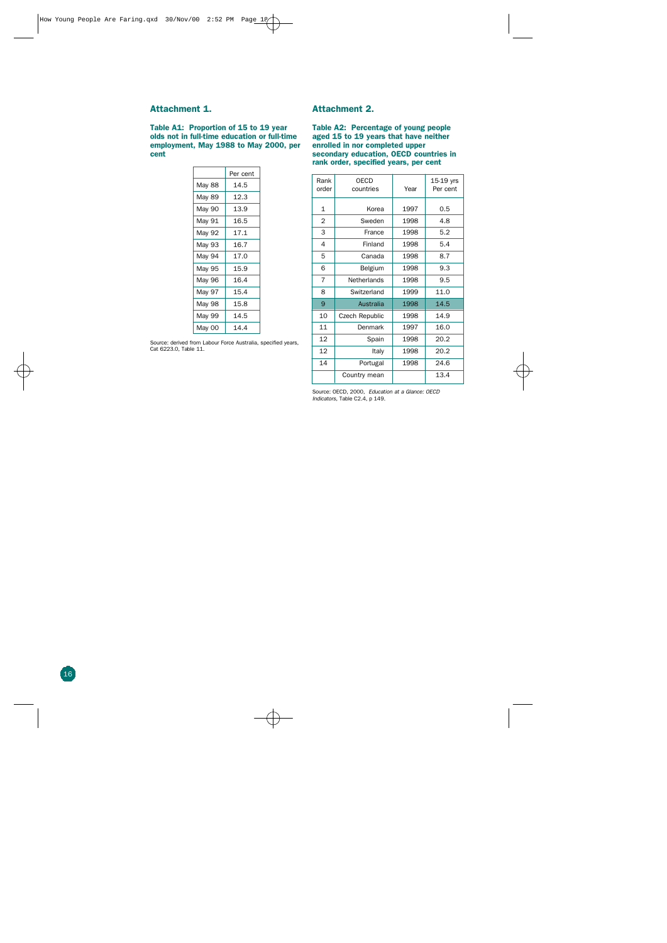#### **Attachment 1.**

**Table A1: Proportion of 15 to 19 year olds not in full-time education or full-time employment, May 1988 to May 2000, per cent**

|        | Per cent |  |
|--------|----------|--|
| May 88 | 14.5     |  |
| May 89 | 12.3     |  |
| May 90 | 13.9     |  |
| May 91 | 16.5     |  |
| May 92 | 17.1     |  |
| May 93 | 16.7     |  |
| May 94 | 17.0     |  |
| May 95 | 15.9     |  |
| May 96 | 16.4     |  |
| May 97 | 15.4     |  |
| May 98 | 15.8     |  |
| May 99 | 14.5     |  |
| May 00 | 14.4     |  |

#### Source: derived from Labour Force Australia, specified years, Cat 6223.0, Table 11.

#### **Attachment 2.**

**Table A2: Percentage of young people aged 15 to 19 years that have neither enrolled in nor completed upper secondary education, OECD countries in rank order, specified years, per cent**

| Rank<br>order  | <b>OECD</b><br>countries | Year | 15-19 yrs<br>Per cent |
|----------------|--------------------------|------|-----------------------|
| $\mathbf{1}$   | Korea                    | 1997 | $0.5\,$               |
| $\overline{2}$ | Sweden                   | 1998 | 4.8                   |
| 3              | France                   | 1998 | 5.2                   |
| 4              | Finland                  | 1998 | 5.4                   |
| 5              | Canada                   | 1998 | 8.7                   |
| 6              | Belgium                  | 1998 | 9.3                   |
| 7              | <b>Netherlands</b>       | 1998 | 9.5                   |
| 8              | Switzerland              | 1999 | 11.0                  |
| 9              | Australia                | 1998 | 14.5                  |
| 10             | Czech Republic           | 1998 | 14.9                  |
| 11             | Denmark                  | 1997 | 16.0                  |
| 12             | Spain                    | 1998 | 20.2                  |
| 12             | Italy                    | 1998 | 20.2                  |
| 14             | Portugal                 | 1998 | 24.6                  |
|                | Country mean             |      | 13.4                  |

Source: OECD, 2000, *Education at a Glance: OECD Indicators,* Table C2.4, p 149.